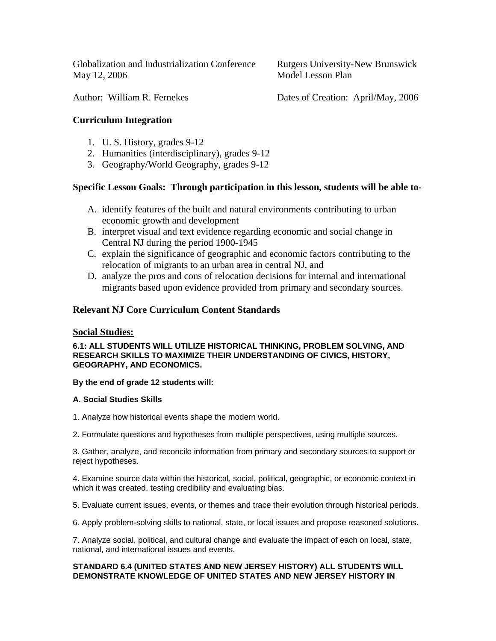Globalization and Industrialization Conference Rutgers University-New Brunswick May 12, 2006 Model Lesson Plan

Author: William R. Fernekes Dates of Creation: April/May, 2006

## **Curriculum Integration**

- 1. U. S. History, grades 9-12
- 2. Humanities (interdisciplinary), grades 9-12
- 3. Geography/World Geography, grades 9-12

### **Specific Lesson Goals: Through participation in this lesson, students will be able to-**

- A. identify features of the built and natural environments contributing to urban economic growth and development
- B. interpret visual and text evidence regarding economic and social change in Central NJ during the period 1900-1945
- C. explain the significance of geographic and economic factors contributing to the relocation of migrants to an urban area in central NJ, and
- D. analyze the pros and cons of relocation decisions for internal and international migrants based upon evidence provided from primary and secondary sources.

### **Relevant NJ Core Curriculum Content Standards**

#### **Social Studies:**

**6.1: ALL STUDENTS WILL UTILIZE HISTORICAL THINKING, PROBLEM SOLVING, AND RESEARCH SKILLS TO MAXIMIZE THEIR UNDERSTANDING OF CIVICS, HISTORY, GEOGRAPHY, AND ECONOMICS.**

#### **By the end of grade 12 students will:**

#### **A. Social Studies Skills**

1. Analyze how historical events shape the modern world.

2. Formulate questions and hypotheses from multiple perspectives, using multiple sources.

3. Gather, analyze, and reconcile information from primary and secondary sources to support or reject hypotheses.

4. Examine source data within the historical, social, political, geographic, or economic context in which it was created, testing credibility and evaluating bias.

5. Evaluate current issues, events, or themes and trace their evolution through historical periods.

6. Apply problem-solving skills to national, state, or local issues and propose reasoned solutions.

7. Analyze social, political, and cultural change and evaluate the impact of each on local, state, national, and international issues and events.

#### **STANDARD 6.4 (UNITED STATES AND NEW JERSEY HISTORY) ALL STUDENTS WILL DEMONSTRATE KNOWLEDGE OF UNITED STATES AND NEW JERSEY HISTORY IN**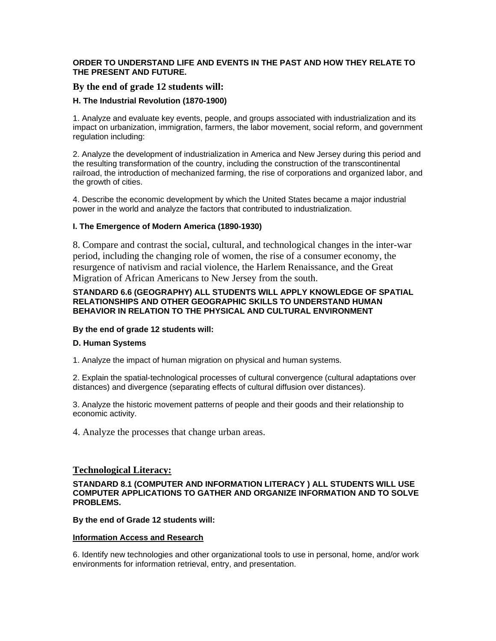#### **ORDER TO UNDERSTAND LIFE AND EVENTS IN THE PAST AND HOW THEY RELATE TO THE PRESENT AND FUTURE.**

### **By the end of grade 12 students will:**

#### **H. The Industrial Revolution (1870-1900)**

1. Analyze and evaluate key events, people, and groups associated with industrialization and its impact on urbanization, immigration, farmers, the labor movement, social reform, and government regulation including:

2. Analyze the development of industrialization in America and New Jersey during this period and the resulting transformation of the country, including the construction of the transcontinental railroad, the introduction of mechanized farming, the rise of corporations and organized labor, and the growth of cities.

4. Describe the economic development by which the United States became a major industrial power in the world and analyze the factors that contributed to industrialization.

#### **I. The Emergence of Modern America (1890-1930)**

8. Compare and contrast the social, cultural, and technological changes in the inter-war period, including the changing role of women, the rise of a consumer economy, the resurgence of nativism and racial violence, the Harlem Renaissance, and the Great Migration of African Americans to New Jersey from the south.

#### **STANDARD 6.6 (GEOGRAPHY) ALL STUDENTS WILL APPLY KNOWLEDGE OF SPATIAL RELATIONSHIPS AND OTHER GEOGRAPHIC SKILLS TO UNDERSTAND HUMAN BEHAVIOR IN RELATION TO THE PHYSICAL AND CULTURAL ENVIRONMENT**

#### **By the end of grade 12 students will:**

#### **D. Human Systems**

1. Analyze the impact of human migration on physical and human systems.

2. Explain the spatial-technological processes of cultural convergence (cultural adaptations over distances) and divergence (separating effects of cultural diffusion over distances).

3. Analyze the historic movement patterns of people and their goods and their relationship to economic activity.

4. Analyze the processes that change urban areas.

#### **Technological Literacy:**

**STANDARD 8.1 (COMPUTER AND INFORMATION LITERACY ) ALL STUDENTS WILL USE COMPUTER APPLICATIONS TO GATHER AND ORGANIZE INFORMATION AND TO SOLVE PROBLEMS.**

#### **By the end of Grade 12 students will:**

#### **Information Access and Research**

6. Identify new technologies and other organizational tools to use in personal, home, and/or work environments for information retrieval, entry, and presentation.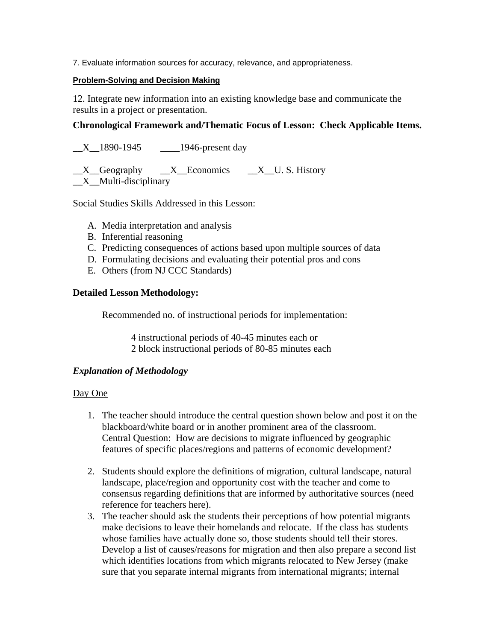7. Evaluate information sources for accuracy, relevance, and appropriateness.

### **Problem-Solving and Decision Making**

12. Integrate new information into an existing knowledge base and communicate the results in a project or presentation.

## **Chronological Framework and/Thematic Focus of Lesson: Check Applicable Items.**

X 1890-1945 1946-present day

X Geography X Economics X U. S. History \_\_X\_\_Multi-disciplinary

Social Studies Skills Addressed in this Lesson:

- A. Media interpretation and analysis
- B. Inferential reasoning
- C. Predicting consequences of actions based upon multiple sources of data
- D. Formulating decisions and evaluating their potential pros and cons
- E. Others (from NJ CCC Standards)

### **Detailed Lesson Methodology:**

Recommended no. of instructional periods for implementation:

4 instructional periods of 40-45 minutes each or 2 block instructional periods of 80-85 minutes each

# *Explanation of Methodology*

### Day One

- 1. The teacher should introduce the central question shown below and post it on the blackboard/white board or in another prominent area of the classroom. Central Question: How are decisions to migrate influenced by geographic features of specific places/regions and patterns of economic development?
- 2. Students should explore the definitions of migration, cultural landscape, natural landscape, place/region and opportunity cost with the teacher and come to consensus regarding definitions that are informed by authoritative sources (need reference for teachers here).
- 3. The teacher should ask the students their perceptions of how potential migrants make decisions to leave their homelands and relocate. If the class has students whose families have actually done so, those students should tell their stores. Develop a list of causes/reasons for migration and then also prepare a second list which identifies locations from which migrants relocated to New Jersey (make sure that you separate internal migrants from international migrants; internal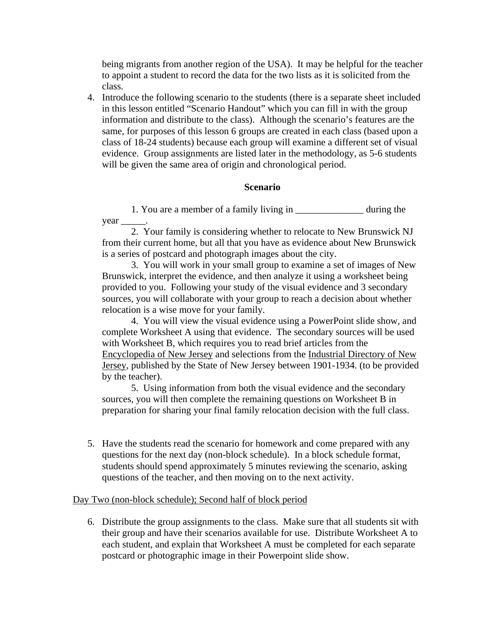being migrants from another region of the USA). It may be helpful for the teacher to appoint a student to record the data for the two lists as it is solicited from the class.

4. Introduce the following scenario to the students (there is a separate sheet included in this lesson entitled "Scenario Handout" which you can fill in with the group information and distribute to the class). Although the scenario's features are the same, for purposes of this lesson 6 groups are created in each class (based upon a class of 18-24 students) because each group will examine a different set of visual evidence. Group assignments are listed later in the methodology, as 5-6 students will be given the same area of origin and chronological period.

# **Scenario**

1. You are a member of a family living in during the year

2. Your family is considering whether to relocate to New Brunswick NJ from their current home, but all that you have as evidence about New Brunswick is a series of postcard and photograph images about the city.

3. You will work in your small group to examine a set of images of New Brunswick, interpret the evidence, and then analyze it using a worksheet being provided to you. Following your study of the visual evidence and 3 secondary sources, you will collaborate with your group to reach a decision about whether relocation is a wise move for your family.

4. You will view the visual evidence using a PowerPoint slide show, and complete Worksheet A using that evidence. The secondary sources will be used with Worksheet B, which requires you to read brief articles from the Encyclopedia of New Jersey and selections from the Industrial Directory of New Jersey, published by the State of New Jersey between 1901-1934. (to be provided by the teacher).

5. Using information from both the visual evidence and the secondary sources, you will then complete the remaining questions on Worksheet B in preparation for sharing your final family relocation decision with the full class.

5. Have the students read the scenario for homework and come prepared with any questions for the next day (non-block schedule). In a block schedule format, students should spend approximately 5 minutes reviewing the scenario, asking questions of the teacher, and then moving on to the next activity.

### Day Two (non-block schedule); Second half of block period

6. Distribute the group assignments to the class. Make sure that all students sit with their group and have their scenarios available for use. Distribute Worksheet A to each student, and explain that Worksheet A must be completed for each separate postcard or photographic image in their Powerpoint slide show.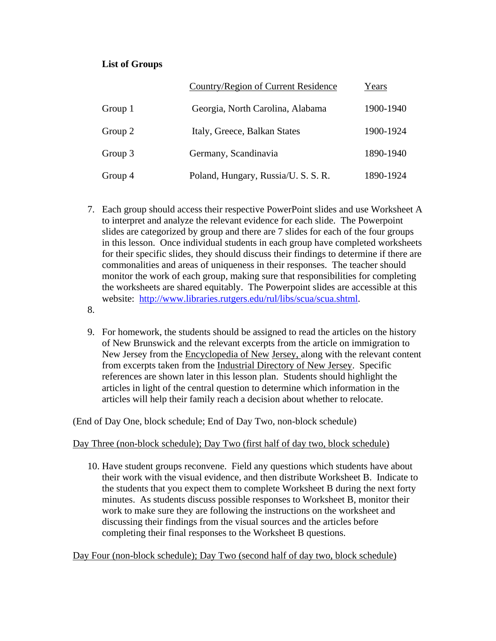# **List of Groups**

|           | Country/Region of Current Residence | Years     |
|-----------|-------------------------------------|-----------|
| Group $1$ | Georgia, North Carolina, Alabama    | 1900-1940 |
| Group 2   | Italy, Greece, Balkan States        | 1900-1924 |
| Group 3   | Germany, Scandinavia                | 1890-1940 |
| Group 4   | Poland, Hungary, Russia/U. S. S. R. | 1890-1924 |

- 7. Each group should access their respective PowerPoint slides and use Worksheet A to interpret and analyze the relevant evidence for each slide. The Powerpoint slides are categorized by group and there are 7 slides for each of the four groups in this lesson. Once individual students in each group have completed worksheets for their specific slides, they should discuss their findings to determine if there are commonalities and areas of uniqueness in their responses. The teacher should monitor the work of each group, making sure that responsibilities for completing the worksheets are shared equitably. The Powerpoint slides are accessible at this website: http://www.libraries.rutgers.edu/rul/libs/scua/scua.shtml.
- 8.
- 9. For homework, the students should be assigned to read the articles on the history of New Brunswick and the relevant excerpts from the article on immigration to New Jersey from the Encyclopedia of New Jersey, along with the relevant content from excerpts taken from the Industrial Directory of New Jersey. Specific references are shown later in this lesson plan. Students should highlight the articles in light of the central question to determine which information in the articles will help their family reach a decision about whether to relocate.

(End of Day One, block schedule; End of Day Two, non-block schedule)

# Day Three (non-block schedule); Day Two (first half of day two, block schedule)

10. Have student groups reconvene. Field any questions which students have about their work with the visual evidence, and then distribute Worksheet B. Indicate to the students that you expect them to complete Worksheet B during the next forty minutes. As students discuss possible responses to Worksheet B, monitor their work to make sure they are following the instructions on the worksheet and discussing their findings from the visual sources and the articles before completing their final responses to the Worksheet B questions.

Day Four (non-block schedule); Day Two (second half of day two, block schedule)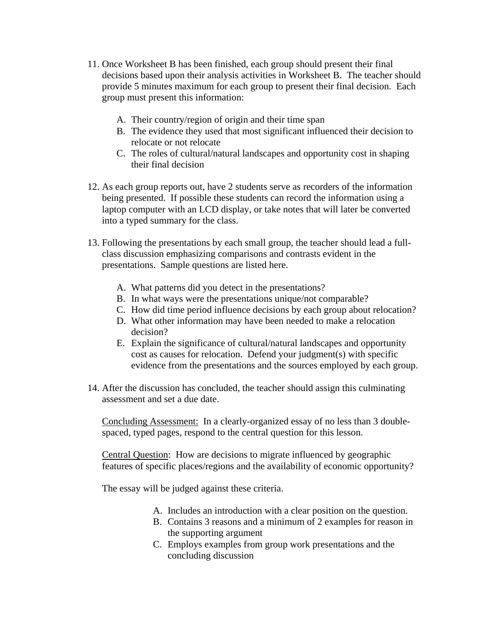- 11. Once Worksheet B has been finished, each group should present their final decisions based upon their analysis activities in Worksheet B. The teacher should provide 5 minutes maximum for each group to present their final decision. Each group must present this information:
	- A. Their country/region of origin and their time span
	- B. The evidence they used that most significant influenced their decision to relocate or not relocate
	- C. The roles of cultural/natural landscapes and opportunity cost in shaping their final decision
- 12. As each group reports out, have 2 students serve as recorders of the information being presented. If possible these students can record the information using a laptop computer with an LCD display, or take notes that will later be converted into a typed summary for the class.
- 13. Following the presentations by each small group, the teacher should lead a fullclass discussion emphasizing comparisons and contrasts evident in the presentations. Sample questions are listed here.
	- A. What patterns did you detect in the presentations?
	- B. In what ways were the presentations unique/not comparable?
	- C. How did time period influence decisions by each group about relocation?
	- D. What other information may have been needed to make a relocation decision?
	- E. Explain the significance of cultural/natural landscapes and opportunity cost as causes for relocation. Defend your judgment(s) with specific evidence from the presentations and the sources employed by each group.
- 14. After the discussion has concluded, the teacher should assign this culminating assessment and set a due date.

Concluding Assessment: In a clearly-organized essay of no less than 3 doublespaced, typed pages, respond to the central question for this lesson.

Central Question: How are decisions to migrate influenced by geographic features of specific places/regions and the availability of economic opportunity?

The essay will be judged against these criteria.

- A. Includes an introduction with a clear position on the question.
- B. Contains 3 reasons and a minimum of 2 examples for reason in the supporting argument
- C. Employs examples from group work presentations and the concluding discussion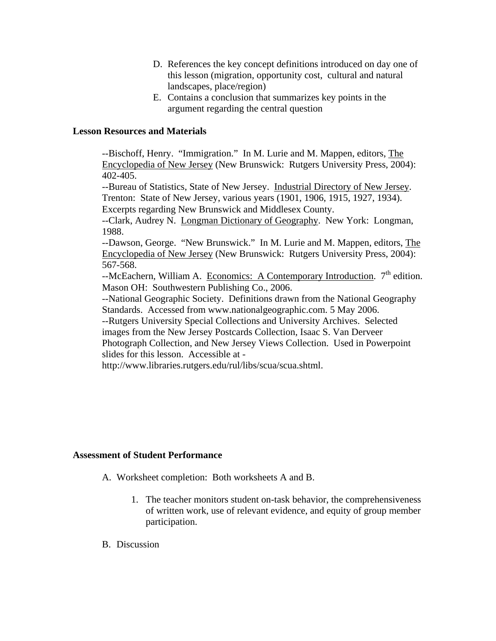- D. References the key concept definitions introduced on day one of this lesson (migration, opportunity cost, cultural and natural landscapes, place/region)
- E. Contains a conclusion that summarizes key points in the argument regarding the central question

## **Lesson Resources and Materials**

--Bischoff, Henry. "Immigration." In M. Lurie and M. Mappen, editors, The Encyclopedia of New Jersey (New Brunswick: Rutgers University Press, 2004): 402-405.

--Bureau of Statistics, State of New Jersey. Industrial Directory of New Jersey. Trenton: State of New Jersey, various years (1901, 1906, 1915, 1927, 1934). Excerpts regarding New Brunswick and Middlesex County.

--Clark, Audrey N. Longman Dictionary of Geography. New York: Longman, 1988.

--Dawson, George. "New Brunswick." In M. Lurie and M. Mappen, editors, The Encyclopedia of New Jersey (New Brunswick: Rutgers University Press, 2004): 567-568.

 $-$ McEachern, William A. Economics: A Contemporary Introduction.  $7<sup>th</sup>$  edition. Mason OH: Southwestern Publishing Co., 2006.

--National Geographic Society. Definitions drawn from the National Geography Standards. Accessed from www.nationalgeographic.com. 5 May 2006.

--Rutgers University Special Collections and University Archives. Selected images from the New Jersey Postcards Collection, Isaac S. Van Derveer

Photograph Collection, and New Jersey Views Collection. Used in Powerpoint slides for this lesson. Accessible at -

http://www.libraries.rutgers.edu/rul/libs/scua/scua.shtml.

### **Assessment of Student Performance**

A. Worksheet completion: Both worksheets A and B.

- 1. The teacher monitors student on-task behavior, the comprehensiveness of written work, use of relevant evidence, and equity of group member participation.
- B. Discussion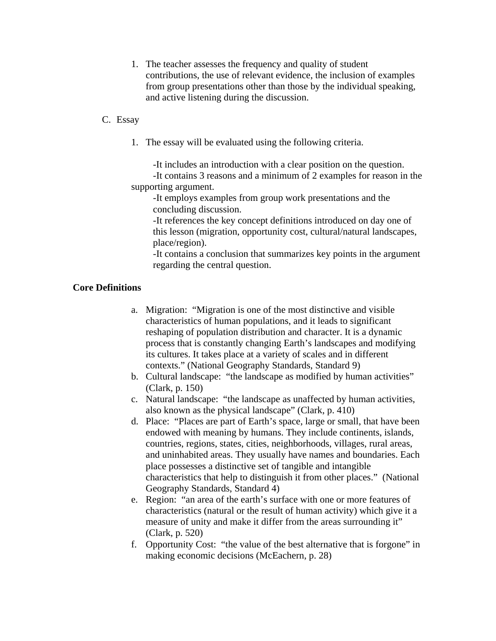1. The teacher assesses the frequency and quality of student contributions, the use of relevant evidence, the inclusion of examples from group presentations other than those by the individual speaking, and active listening during the discussion.

## C. Essay

- 1. The essay will be evaluated using the following criteria.
	- -It includes an introduction with a clear position on the question.

-It contains 3 reasons and a minimum of 2 examples for reason in the supporting argument.

-It employs examples from group work presentations and the concluding discussion.

-It references the key concept definitions introduced on day one of this lesson (migration, opportunity cost, cultural/natural landscapes, place/region).

-It contains a conclusion that summarizes key points in the argument regarding the central question.

# **Core Definitions**

- a. Migration: "Migration is one of the most distinctive and visible characteristics of human populations, and it leads to significant reshaping of population distribution and character. It is a dynamic process that is constantly changing Earth's landscapes and modifying its cultures. It takes place at a variety of scales and in different contexts." (National Geography Standards, Standard 9)
- b. Cultural landscape: "the landscape as modified by human activities" (Clark, p. 150)
- c. Natural landscape: "the landscape as unaffected by human activities, also known as the physical landscape" (Clark, p. 410)
- d. Place: "Places are part of Earth's space, large or small, that have been endowed with meaning by humans. They include continents, islands, countries, regions, states, cities, neighborhoods, villages, rural areas, and uninhabited areas. They usually have names and boundaries. Each place possesses a distinctive set of tangible and intangible characteristics that help to distinguish it from other places." (National Geography Standards, Standard 4)
- e. Region: "an area of the earth's surface with one or more features of characteristics (natural or the result of human activity) which give it a measure of unity and make it differ from the areas surrounding it" (Clark, p. 520)
- f. Opportunity Cost: "the value of the best alternative that is forgone" in making economic decisions (McEachern, p. 28)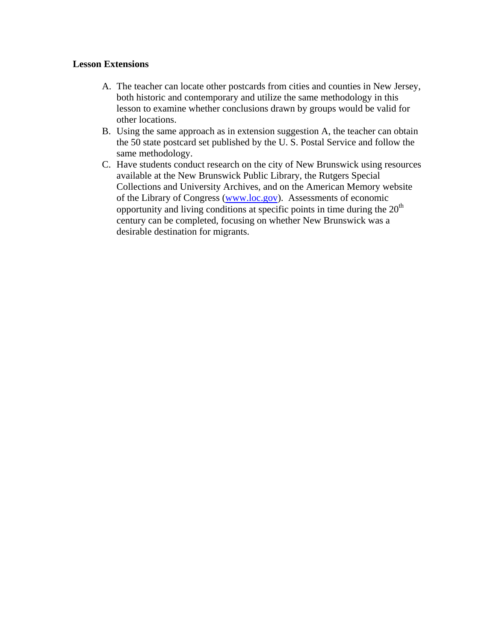# **Lesson Extensions**

- A. The teacher can locate other postcards from cities and counties in New Jersey, both historic and contemporary and utilize the same methodology in this lesson to examine whether conclusions drawn by groups would be valid for other locations.
- B. Using the same approach as in extension suggestion A, the teacher can obtain the 50 state postcard set published by the U. S. Postal Service and follow the same methodology.
- C. Have students conduct research on the city of New Brunswick using resources available at the New Brunswick Public Library, the Rutgers Special Collections and University Archives, and on the American Memory website of the Library of Congress (www.loc.gov). Assessments of economic opportunity and living conditions at specific points in time during the  $20<sup>th</sup>$ century can be completed, focusing on whether New Brunswick was a desirable destination for migrants.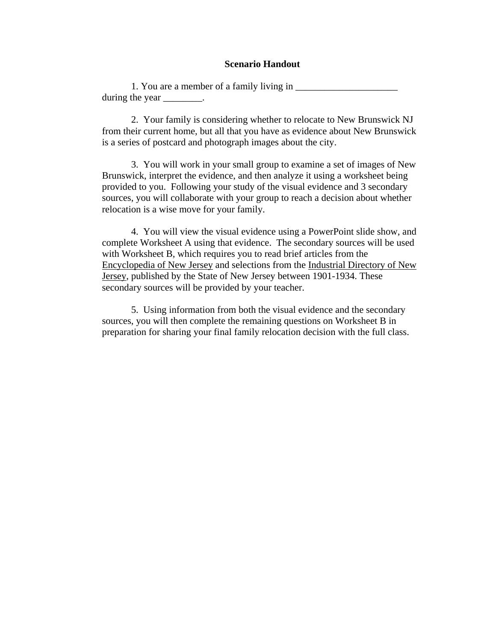#### **Scenario Handout**

1. You are a member of a family living in during the year \_\_\_\_\_\_\_\_\_.

2. Your family is considering whether to relocate to New Brunswick NJ from their current home, but all that you have as evidence about New Brunswick is a series of postcard and photograph images about the city.

3. You will work in your small group to examine a set of images of New Brunswick, interpret the evidence, and then analyze it using a worksheet being provided to you. Following your study of the visual evidence and 3 secondary sources, you will collaborate with your group to reach a decision about whether relocation is a wise move for your family.

4. You will view the visual evidence using a PowerPoint slide show, and complete Worksheet A using that evidence. The secondary sources will be used with Worksheet B, which requires you to read brief articles from the Encyclopedia of New Jersey and selections from the Industrial Directory of New Jersey, published by the State of New Jersey between 1901-1934. These secondary sources will be provided by your teacher.

5. Using information from both the visual evidence and the secondary sources, you will then complete the remaining questions on Worksheet B in preparation for sharing your final family relocation decision with the full class.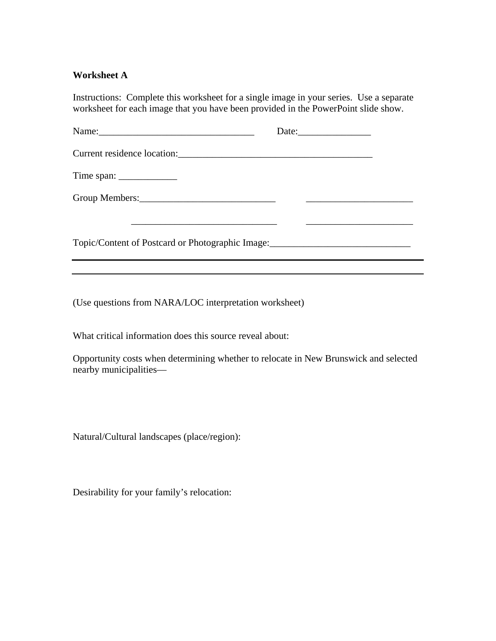## **Worksheet A**

Instructions: Complete this worksheet for a single image in your series. Use a separate worksheet for each image that you have been provided in the PowerPoint slide show.

|                                                                                  | Date: |
|----------------------------------------------------------------------------------|-------|
|                                                                                  |       |
| Time span: $\frac{1}{\sqrt{1-\frac{1}{2}} \cdot \frac{1}{2}}$                    |       |
|                                                                                  |       |
|                                                                                  |       |
| Topic/Content of Postcard or Photographic Image:________________________________ |       |
|                                                                                  |       |

(Use questions from NARA/LOC interpretation worksheet)

What critical information does this source reveal about:

Opportunity costs when determining whether to relocate in New Brunswick and selected nearby municipalities—

Natural/Cultural landscapes (place/region):

Desirability for your family's relocation: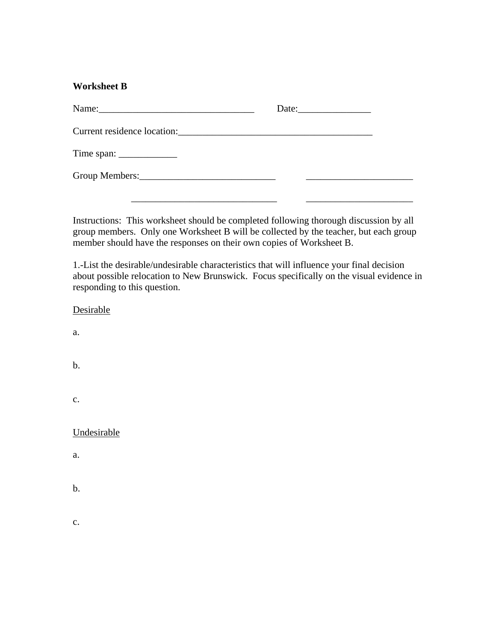# **Worksheet B**

|                                                               | Date: $\qquad \qquad$ |  |
|---------------------------------------------------------------|-----------------------|--|
|                                                               |                       |  |
| Time span: $\frac{1}{\sqrt{1-\frac{1}{2}} \cdot \frac{1}{2}}$ |                       |  |
|                                                               |                       |  |
|                                                               |                       |  |

Instructions: This worksheet should be completed following thorough discussion by all group members. Only one Worksheet B will be collected by the teacher, but each group member should have the responses on their own copies of Worksheet B.

1.-List the desirable/undesirable characteristics that will influence your final decision about possible relocation to New Brunswick. Focus specifically on the visual evidence in responding to this question.

| Desirable      |  |  |
|----------------|--|--|
| a.             |  |  |
| b.             |  |  |
| $\mathbf{c}$ . |  |  |
| Undesirable    |  |  |
| a.             |  |  |
| b.             |  |  |
| $\mathbf{c}$ . |  |  |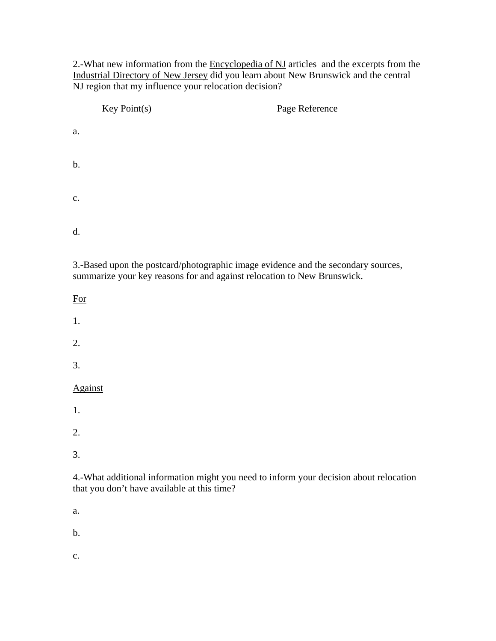2.-What new information from the Encyclopedia of NJ articles and the excerpts from the Industrial Directory of New Jersey did you learn about New Brunswick and the central NJ region that my influence your relocation decision?

|                | Key Point(s) | Page Reference |
|----------------|--------------|----------------|
| a.             |              |                |
| b.             |              |                |
| $\mathbf{c}$ . |              |                |
| d.             |              |                |

3.-Based upon the postcard/photographic image evidence and the secondary sources, summarize your key reasons for and against relocation to New Brunswick.

For

1.

2.

3.

# Against

1.

2.

3.

4.-What additional information might you need to inform your decision about relocation that you don't have available at this time?

a.

b.

c.